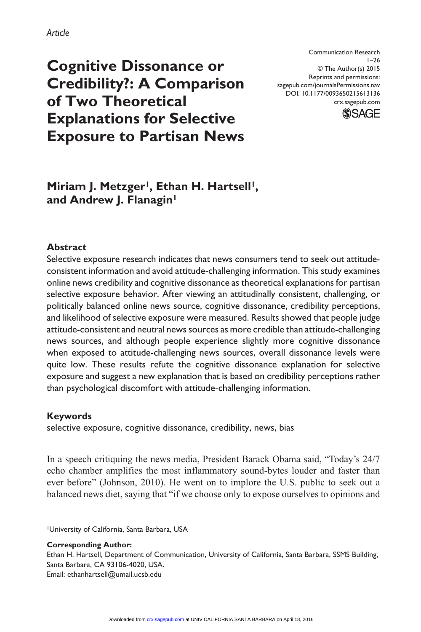**Cognitive Dissonance or Credibility?: A Comparison of Two Theoretical Explanations for Selective Exposure to Partisan News**

Communication Research  $1 - 26$ © The Author(s) 2015 Reprints and permissions: sagepub.com/journalsPermissions.nav DOI: 10.1177/0093650215613136 crx.sagepub.com



# Miriam J. Metzger<sup>1</sup>, Ethan H. Hartsell<sup>1</sup>, and Andrew J. Flanagin<sup>1</sup>

### **Abstract**

Selective exposure research indicates that news consumers tend to seek out attitudeconsistent information and avoid attitude-challenging information. This study examines online news credibility and cognitive dissonance as theoretical explanations for partisan selective exposure behavior. After viewing an attitudinally consistent, challenging, or politically balanced online news source, cognitive dissonance, credibility perceptions, and likelihood of selective exposure were measured. Results showed that people judge attitude-consistent and neutral news sources as more credible than attitude-challenging news sources, and although people experience slightly more cognitive dissonance when exposed to attitude-challenging news sources, overall dissonance levels were quite low. These results refute the cognitive dissonance explanation for selective exposure and suggest a new explanation that is based on credibility perceptions rather than psychological discomfort with attitude-challenging information.

#### **Keywords**

selective exposure, cognitive dissonance, credibility, news, bias

In a speech critiquing the news media, President Barack Obama said, "Today's 24/7 echo chamber amplifies the most inflammatory sound-bytes louder and faster than ever before" (Johnson, 2010). He went on to implore the U.S. public to seek out a balanced news diet, saying that "if we choose only to expose ourselves to opinions and

1University of California, Santa Barbara, USA

**Corresponding Author:** Ethan H. Hartsell, Department of Communication, University of California, Santa Barbara, SSMS Building, Santa Barbara, CA 93106-4020, USA. Email: [ethanhartsell@umail.ucsb.edu](mailto:ethanhartsell@umail.ucsb.edu)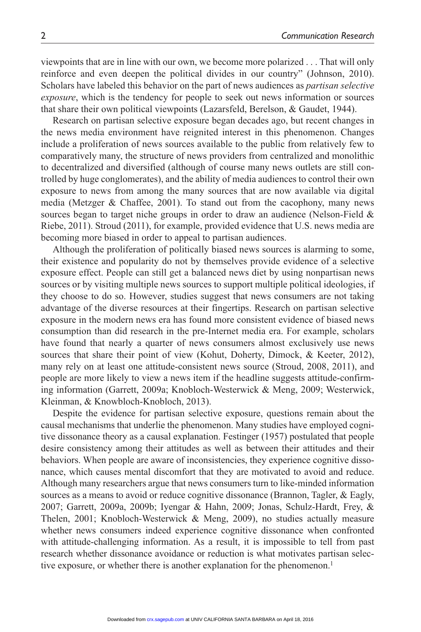viewpoints that are in line with our own, we become more polarized . . . That will only reinforce and even deepen the political divides in our country" (Johnson, 2010). Scholars have labeled this behavior on the part of news audiences as *partisan selective exposure*, which is the tendency for people to seek out news information or sources that share their own political viewpoints (Lazarsfeld, Berelson, & Gaudet, 1944).

Research on partisan selective exposure began decades ago, but recent changes in the news media environment have reignited interest in this phenomenon. Changes include a proliferation of news sources available to the public from relatively few to comparatively many, the structure of news providers from centralized and monolithic to decentralized and diversified (although of course many news outlets are still controlled by huge conglomerates), and the ability of media audiences to control their own exposure to news from among the many sources that are now available via digital media (Metzger & Chaffee, 2001). To stand out from the cacophony, many news sources began to target niche groups in order to draw an audience (Nelson-Field & Riebe, 2011). Stroud (2011), for example, provided evidence that U.S. news media are becoming more biased in order to appeal to partisan audiences.

Although the proliferation of politically biased news sources is alarming to some, their existence and popularity do not by themselves provide evidence of a selective exposure effect. People can still get a balanced news diet by using nonpartisan news sources or by visiting multiple news sources to support multiple political ideologies, if they choose to do so. However, studies suggest that news consumers are not taking advantage of the diverse resources at their fingertips. Research on partisan selective exposure in the modern news era has found more consistent evidence of biased news consumption than did research in the pre-Internet media era. For example, scholars have found that nearly a quarter of news consumers almost exclusively use news sources that share their point of view (Kohut, Doherty, Dimock, & Keeter, 2012), many rely on at least one attitude-consistent news source (Stroud, 2008, 2011), and people are more likely to view a news item if the headline suggests attitude-confirming information (Garrett, 2009a; Knobloch-Westerwick & Meng, 2009; Westerwick, Kleinman, & Knowbloch-Knobloch, 2013).

Despite the evidence for partisan selective exposure, questions remain about the causal mechanisms that underlie the phenomenon. Many studies have employed cognitive dissonance theory as a causal explanation. Festinger (1957) postulated that people desire consistency among their attitudes as well as between their attitudes and their behaviors. When people are aware of inconsistencies, they experience cognitive dissonance, which causes mental discomfort that they are motivated to avoid and reduce. Although many researchers argue that news consumers turn to like-minded information sources as a means to avoid or reduce cognitive dissonance (Brannon, Tagler, & Eagly, 2007; Garrett, 2009a, 2009b; Iyengar & Hahn, 2009; Jonas, Schulz-Hardt, Frey, & Thelen, 2001; Knobloch-Westerwick & Meng, 2009), no studies actually measure whether news consumers indeed experience cognitive dissonance when confronted with attitude-challenging information. As a result, it is impossible to tell from past research whether dissonance avoidance or reduction is what motivates partisan selective exposure, or whether there is another explanation for the phenomenon.<sup>1</sup>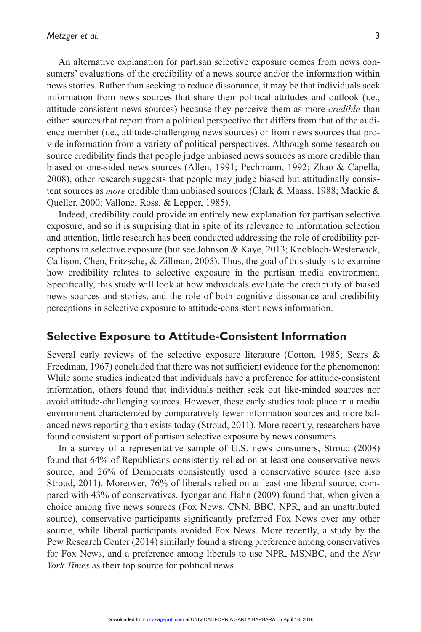An alternative explanation for partisan selective exposure comes from news consumers' evaluations of the credibility of a news source and/or the information within news stories. Rather than seeking to reduce dissonance, it may be that individuals seek information from news sources that share their political attitudes and outlook (i.e., attitude-consistent news sources) because they perceive them as more *credible* than either sources that report from a political perspective that differs from that of the audience member (i.e., attitude-challenging news sources) or from news sources that provide information from a variety of political perspectives. Although some research on source credibility finds that people judge unbiased news sources as more credible than biased or one-sided news sources (Allen, 1991; Pechmann, 1992; Zhao & Capella, 2008), other research suggests that people may judge biased but attitudinally consistent sources as *more* credible than unbiased sources (Clark & Maass, 1988; Mackie & Queller, 2000; Vallone, Ross, & Lepper, 1985).

Indeed, credibility could provide an entirely new explanation for partisan selective exposure, and so it is surprising that in spite of its relevance to information selection and attention, little research has been conducted addressing the role of credibility perceptions in selective exposure (but see Johnson & Kaye, 2013; Knobloch-Westerwick, Callison, Chen, Fritzsche,  $\&$  Zillman, 2005). Thus, the goal of this study is to examine how credibility relates to selective exposure in the partisan media environment. Specifically, this study will look at how individuals evaluate the credibility of biased news sources and stories, and the role of both cognitive dissonance and credibility perceptions in selective exposure to attitude-consistent news information.

### **Selective Exposure to Attitude-Consistent Information**

Several early reviews of the selective exposure literature (Cotton, 1985; Sears & Freedman, 1967) concluded that there was not sufficient evidence for the phenomenon: While some studies indicated that individuals have a preference for attitude-consistent information, others found that individuals neither seek out like-minded sources nor avoid attitude-challenging sources. However, these early studies took place in a media environment characterized by comparatively fewer information sources and more balanced news reporting than exists today (Stroud, 2011). More recently, researchers have found consistent support of partisan selective exposure by news consumers.

In a survey of a representative sample of U.S. news consumers, Stroud (2008) found that 64% of Republicans consistently relied on at least one conservative news source, and 26% of Democrats consistently used a conservative source (see also Stroud, 2011). Moreover, 76% of liberals relied on at least one liberal source, compared with 43% of conservatives. Iyengar and Hahn (2009) found that, when given a choice among five news sources (Fox News, CNN, BBC, NPR, and an unattributed source), conservative participants significantly preferred Fox News over any other source, while liberal participants avoided Fox News. More recently, a study by the Pew Research Center (2014) similarly found a strong preference among conservatives for Fox News, and a preference among liberals to use NPR, MSNBC, and the *New York Times* as their top source for political news.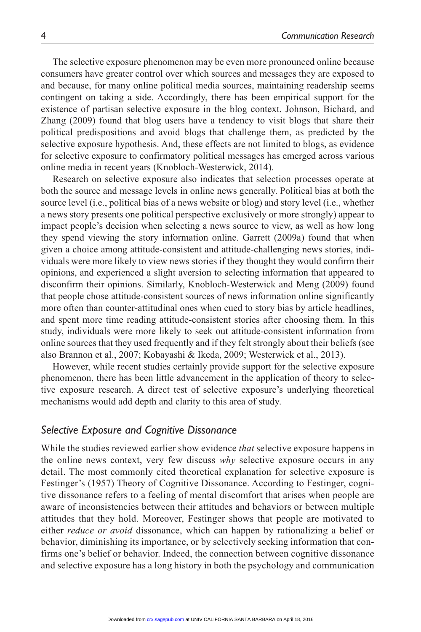The selective exposure phenomenon may be even more pronounced online because consumers have greater control over which sources and messages they are exposed to and because, for many online political media sources, maintaining readership seems contingent on taking a side. Accordingly, there has been empirical support for the existence of partisan selective exposure in the blog context. Johnson, Bichard, and Zhang (2009) found that blog users have a tendency to visit blogs that share their political predispositions and avoid blogs that challenge them, as predicted by the selective exposure hypothesis. And, these effects are not limited to blogs, as evidence for selective exposure to confirmatory political messages has emerged across various online media in recent years (Knobloch-Westerwick, 2014).

Research on selective exposure also indicates that selection processes operate at both the source and message levels in online news generally. Political bias at both the source level (i.e., political bias of a news website or blog) and story level (i.e., whether a news story presents one political perspective exclusively or more strongly) appear to impact people's decision when selecting a news source to view, as well as how long they spend viewing the story information online. Garrett (2009a) found that when given a choice among attitude-consistent and attitude-challenging news stories, individuals were more likely to view news stories if they thought they would confirm their opinions, and experienced a slight aversion to selecting information that appeared to disconfirm their opinions. Similarly, Knobloch-Westerwick and Meng (2009) found that people chose attitude-consistent sources of news information online significantly more often than counter-attitudinal ones when cued to story bias by article headlines, and spent more time reading attitude-consistent stories after choosing them. In this study, individuals were more likely to seek out attitude-consistent information from online sources that they used frequently and if they felt strongly about their beliefs (see also Brannon et al., 2007; Kobayashi & Ikeda, 2009; Westerwick et al., 2013).

However, while recent studies certainly provide support for the selective exposure phenomenon, there has been little advancement in the application of theory to selective exposure research. A direct test of selective exposure's underlying theoretical mechanisms would add depth and clarity to this area of study.

### *Selective Exposure and Cognitive Dissonance*

While the studies reviewed earlier show evidence *that* selective exposure happens in the online news context, very few discuss *why* selective exposure occurs in any detail. The most commonly cited theoretical explanation for selective exposure is Festinger's (1957) Theory of Cognitive Dissonance. According to Festinger, cognitive dissonance refers to a feeling of mental discomfort that arises when people are aware of inconsistencies between their attitudes and behaviors or between multiple attitudes that they hold. Moreover, Festinger shows that people are motivated to either *reduce or avoid* dissonance, which can happen by rationalizing a belief or behavior, diminishing its importance, or by selectively seeking information that confirms one's belief or behavior. Indeed, the connection between cognitive dissonance and selective exposure has a long history in both the psychology and communication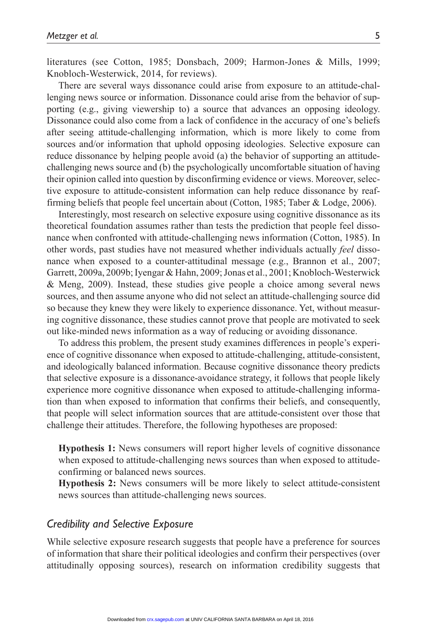literatures (see Cotton, 1985; Donsbach, 2009; Harmon-Jones & Mills, 1999; Knobloch-Westerwick, 2014, for reviews).

There are several ways dissonance could arise from exposure to an attitude-challenging news source or information. Dissonance could arise from the behavior of supporting (e.g., giving viewership to) a source that advances an opposing ideology. Dissonance could also come from a lack of confidence in the accuracy of one's beliefs after seeing attitude-challenging information, which is more likely to come from sources and/or information that uphold opposing ideologies. Selective exposure can reduce dissonance by helping people avoid (a) the behavior of supporting an attitudechallenging news source and (b) the psychologically uncomfortable situation of having their opinion called into question by disconfirming evidence or views. Moreover, selective exposure to attitude-consistent information can help reduce dissonance by reaffirming beliefs that people feel uncertain about (Cotton, 1985; Taber & Lodge, 2006).

Interestingly, most research on selective exposure using cognitive dissonance as its theoretical foundation assumes rather than tests the prediction that people feel dissonance when confronted with attitude-challenging news information (Cotton, 1985). In other words, past studies have not measured whether individuals actually *feel* dissonance when exposed to a counter-attitudinal message (e.g., Brannon et al., 2007; Garrett, 2009a, 2009b; Iyengar & Hahn, 2009; Jonas et al., 2001; Knobloch-Westerwick & Meng, 2009). Instead, these studies give people a choice among several news sources, and then assume anyone who did not select an attitude-challenging source did so because they knew they were likely to experience dissonance. Yet, without measuring cognitive dissonance, these studies cannot prove that people are motivated to seek out like-minded news information as a way of reducing or avoiding dissonance.

To address this problem, the present study examines differences in people's experience of cognitive dissonance when exposed to attitude-challenging, attitude-consistent, and ideologically balanced information. Because cognitive dissonance theory predicts that selective exposure is a dissonance-avoidance strategy, it follows that people likely experience more cognitive dissonance when exposed to attitude-challenging information than when exposed to information that confirms their beliefs, and consequently, that people will select information sources that are attitude-consistent over those that challenge their attitudes. Therefore, the following hypotheses are proposed:

**Hypothesis 1:** News consumers will report higher levels of cognitive dissonance when exposed to attitude-challenging news sources than when exposed to attitudeconfirming or balanced news sources.

**Hypothesis 2:** News consumers will be more likely to select attitude-consistent news sources than attitude-challenging news sources.

### *Credibility and Selective Exposure*

While selective exposure research suggests that people have a preference for sources of information that share their political ideologies and confirm their perspectives (over attitudinally opposing sources), research on information credibility suggests that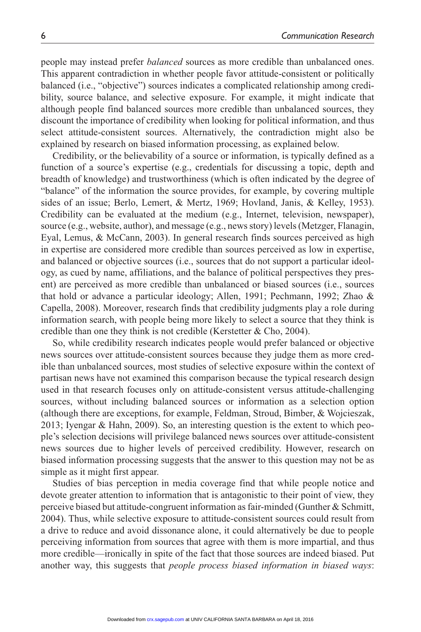people may instead prefer *balanced* sources as more credible than unbalanced ones. This apparent contradiction in whether people favor attitude-consistent or politically balanced (i.e., "objective") sources indicates a complicated relationship among credibility, source balance, and selective exposure. For example, it might indicate that although people find balanced sources more credible than unbalanced sources, they discount the importance of credibility when looking for political information, and thus select attitude-consistent sources. Alternatively, the contradiction might also be explained by research on biased information processing, as explained below.

Credibility, or the believability of a source or information, is typically defined as a function of a source's expertise (e.g., credentials for discussing a topic, depth and breadth of knowledge) and trustworthiness (which is often indicated by the degree of "balance" of the information the source provides, for example, by covering multiple sides of an issue; Berlo, Lemert, & Mertz, 1969; Hovland, Janis, & Kelley, 1953). Credibility can be evaluated at the medium (e.g., Internet, television, newspaper), source (e.g., website, author), and message (e.g., news story) levels (Metzger, Flanagin, Eyal, Lemus, & McCann, 2003). In general research finds sources perceived as high in expertise are considered more credible than sources perceived as low in expertise, and balanced or objective sources (i.e., sources that do not support a particular ideology, as cued by name, affiliations, and the balance of political perspectives they present) are perceived as more credible than unbalanced or biased sources (i.e., sources that hold or advance a particular ideology; Allen, 1991; Pechmann, 1992; Zhao & Capella, 2008). Moreover, research finds that credibility judgments play a role during information search, with people being more likely to select a source that they think is credible than one they think is not credible (Kerstetter & Cho, 2004).

So, while credibility research indicates people would prefer balanced or objective news sources over attitude-consistent sources because they judge them as more credible than unbalanced sources, most studies of selective exposure within the context of partisan news have not examined this comparison because the typical research design used in that research focuses only on attitude-consistent versus attitude-challenging sources, without including balanced sources or information as a selection option (although there are exceptions, for example, Feldman, Stroud, Bimber, & Wojcieszak, 2013; Iyengar & Hahn, 2009). So, an interesting question is the extent to which people's selection decisions will privilege balanced news sources over attitude-consistent news sources due to higher levels of perceived credibility. However, research on biased information processing suggests that the answer to this question may not be as simple as it might first appear.

Studies of bias perception in media coverage find that while people notice and devote greater attention to information that is antagonistic to their point of view, they perceive biased but attitude-congruent information as fair-minded (Gunther & Schmitt, 2004). Thus, while selective exposure to attitude-consistent sources could result from a drive to reduce and avoid dissonance alone, it could alternatively be due to people perceiving information from sources that agree with them is more impartial, and thus more credible—ironically in spite of the fact that those sources are indeed biased. Put another way, this suggests that *people process biased information in biased ways*: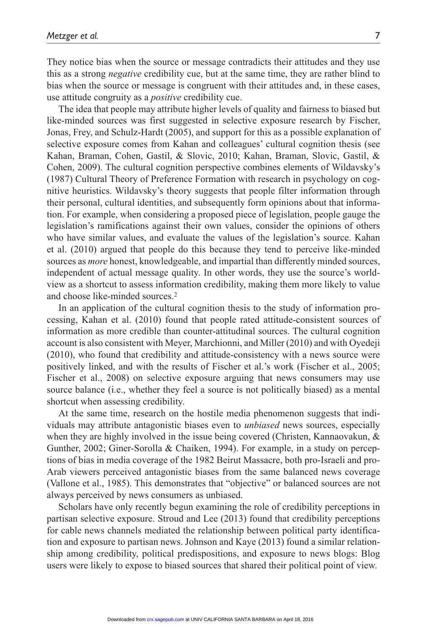They notice bias when the source or message contradicts their attitudes and they use this as a strong *negative* credibility cue, but at the same time, they are rather blind to bias when the source or message is congruent with their attitudes and, in these cases, use attitude congruity as a *positive* credibility cue.

The idea that people may attribute higher levels of quality and fairness to biased but like-minded sources was first suggested in selective exposure research by Fischer, Jonas, Frey, and Schulz-Hardt (2005), and support for this as a possible explanation of selective exposure comes from Kahan and colleagues' cultural cognition thesis (see Kahan, Braman, Cohen, Gastil, & Slovic, 2010; Kahan, Braman, Slovic, Gastil, & Cohen, 2009). The cultural cognition perspective combines elements of Wildavsky's (1987) Cultural Theory of Preference Formation with research in psychology on cognitive heuristics. Wildavsky's theory suggests that people filter information through their personal, cultural identities, and subsequently form opinions about that information. For example, when considering a proposed piece of legislation, people gauge the legislation's ramifications against their own values, consider the opinions of others who have similar values, and evaluate the values of the legislation's source. Kahan et al. (2010) argued that people do this because they tend to perceive like-minded sources as *more* honest, knowledgeable, and impartial than differently minded sources, independent of actual message quality. In other words, they use the source's worldview as a shortcut to assess information credibility, making them more likely to value and choose like-minded sources.2

In an application of the cultural cognition thesis to the study of information processing, Kahan et al. (2010) found that people rated attitude-consistent sources of information as more credible than counter-attitudinal sources. The cultural cognition account is also consistent with Meyer, Marchionni, and Miller (2010) and with Oyedeji (2010), who found that credibility and attitude-consistency with a news source were positively linked, and with the results of Fischer et al.'s work (Fischer et al., 2005; Fischer et al., 2008) on selective exposure arguing that news consumers may use source balance (i.e., whether they feel a source is not politically biased) as a mental shortcut when assessing credibility.

At the same time, research on the hostile media phenomenon suggests that individuals may attribute antagonistic biases even to *unbiased* news sources, especially when they are highly involved in the issue being covered (Christen, Kannaovakun, & Gunther, 2002; Giner-Sorolla & Chaiken, 1994). For example, in a study on perceptions of bias in media coverage of the 1982 Beirut Massacre, both pro-Israeli and pro-Arab viewers perceived antagonistic biases from the same balanced news coverage (Vallone et al., 1985). This demonstrates that "objective" or balanced sources are not always perceived by news consumers as unbiased.

Scholars have only recently begun examining the role of credibility perceptions in partisan selective exposure. Stroud and Lee (2013) found that credibility perceptions for cable news channels mediated the relationship between political party identification and exposure to partisan news. Johnson and Kaye (2013) found a similar relationship among credibility, political predispositions, and exposure to news blogs: Blog users were likely to expose to biased sources that shared their political point of view.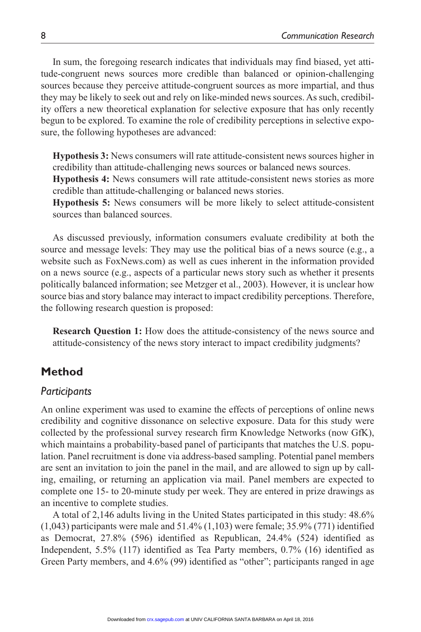In sum, the foregoing research indicates that individuals may find biased, yet attitude-congruent news sources more credible than balanced or opinion-challenging sources because they perceive attitude-congruent sources as more impartial, and thus they may be likely to seek out and rely on like-minded news sources. As such, credibility offers a new theoretical explanation for selective exposure that has only recently begun to be explored. To examine the role of credibility perceptions in selective exposure, the following hypotheses are advanced:

**Hypothesis 3:** News consumers will rate attitude-consistent news sources higher in credibility than attitude-challenging news sources or balanced news sources.

**Hypothesis 4:** News consumers will rate attitude-consistent news stories as more credible than attitude-challenging or balanced news stories.

**Hypothesis 5:** News consumers will be more likely to select attitude-consistent sources than balanced sources.

As discussed previously, information consumers evaluate credibility at both the source and message levels: They may use the political bias of a news source (e.g., a website such as FoxNews.com) as well as cues inherent in the information provided on a news source (e.g., aspects of a particular news story such as whether it presents politically balanced information; see Metzger et al., 2003). However, it is unclear how source bias and story balance may interact to impact credibility perceptions. Therefore, the following research question is proposed:

**Research Question 1:** How does the attitude-consistency of the news source and attitude-consistency of the news story interact to impact credibility judgments?

## **Method**

### *Participants*

An online experiment was used to examine the effects of perceptions of online news credibility and cognitive dissonance on selective exposure. Data for this study were collected by the professional survey research firm Knowledge Networks (now GfK), which maintains a probability-based panel of participants that matches the U.S. population. Panel recruitment is done via address-based sampling. Potential panel members are sent an invitation to join the panel in the mail, and are allowed to sign up by calling, emailing, or returning an application via mail. Panel members are expected to complete one 15- to 20-minute study per week. They are entered in prize drawings as an incentive to complete studies.

A total of 2,146 adults living in the United States participated in this study: 48.6% (1,043) participants were male and 51.4% (1,103) were female; 35.9% (771) identified as Democrat, 27.8% (596) identified as Republican, 24.4% (524) identified as Independent, 5.5% (117) identified as Tea Party members, 0.7% (16) identified as Green Party members, and 4.6% (99) identified as "other"; participants ranged in age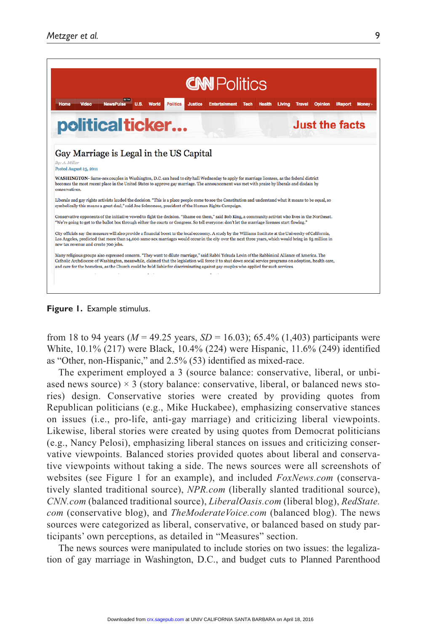

**Figure 1.** Example stimulus.

from 18 to 94 years ( $M = 49.25$  years,  $SD = 16.03$ ); 65.4% (1,403) participants were White, 10.1% (217) were Black, 10.4% (224) were Hispanic, 11.6% (249) identified as "Other, non-Hispanic," and 2.5% (53) identified as mixed-race.

The experiment employed a 3 (source balance: conservative, liberal, or unbiased news source)  $\times$  3 (story balance: conservative, liberal, or balanced news stories) design. Conservative stories were created by providing quotes from Republican politicians (e.g., Mike Huckabee), emphasizing conservative stances on issues (i.e., pro-life, anti-gay marriage) and criticizing liberal viewpoints. Likewise, liberal stories were created by using quotes from Democrat politicians (e.g., Nancy Pelosi), emphasizing liberal stances on issues and criticizing conservative viewpoints. Balanced stories provided quotes about liberal and conservative viewpoints without taking a side. The news sources were all screenshots of websites (see Figure 1 for an example), and included *FoxNews.com* (conservatively slanted traditional source), *NPR.com* (liberally slanted traditional source), *CNN.com* (balanced traditional source), *LiberalOasis.com* (liberal blog), *RedState. com* (conservative blog), and *TheModerateVoice.com* (balanced blog). The news sources were categorized as liberal, conservative, or balanced based on study participants' own perceptions, as detailed in "Measures" section.

The news sources were manipulated to include stories on two issues: the legalization of gay marriage in Washington, D.C., and budget cuts to Planned Parenthood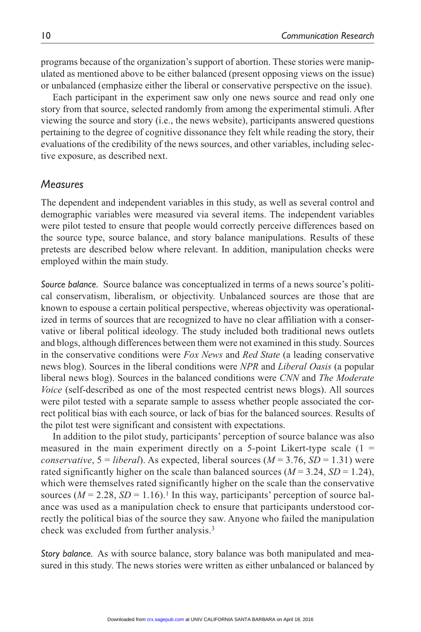programs because of the organization's support of abortion. These stories were manipulated as mentioned above to be either balanced (present opposing views on the issue) or unbalanced (emphasize either the liberal or conservative perspective on the issue).

Each participant in the experiment saw only one news source and read only one story from that source, selected randomly from among the experimental stimuli. After viewing the source and story (i.e., the news website), participants answered questions pertaining to the degree of cognitive dissonance they felt while reading the story, their evaluations of the credibility of the news sources, and other variables, including selective exposure, as described next.

### *Measures*

The dependent and independent variables in this study, as well as several control and demographic variables were measured via several items. The independent variables were pilot tested to ensure that people would correctly perceive differences based on the source type, source balance, and story balance manipulations. Results of these pretests are described below where relevant. In addition, manipulation checks were employed within the main study.

*Source balance.* Source balance was conceptualized in terms of a news source's political conservatism, liberalism, or objectivity. Unbalanced sources are those that are known to espouse a certain political perspective, whereas objectivity was operationalized in terms of sources that are recognized to have no clear affiliation with a conservative or liberal political ideology. The study included both traditional news outlets and blogs, although differences between them were not examined in this study. Sources in the conservative conditions were *Fox News* and *Red State* (a leading conservative news blog). Sources in the liberal conditions were *NPR* and *Liberal Oasis* (a popular liberal news blog). Sources in the balanced conditions were *CNN* and *The Moderate Voice* (self-described as one of the most respected centrist news blogs). All sources were pilot tested with a separate sample to assess whether people associated the correct political bias with each source, or lack of bias for the balanced sources. Results of the pilot test were significant and consistent with expectations.

In addition to the pilot study, participants' perception of source balance was also measured in the main experiment directly on a 5-point Likert-type scale  $(1 =$ *conservative*,  $5 = liberal$ . As expected, liberal sources ( $M = 3.76$ ,  $SD = 1.31$ ) were rated significantly higher on the scale than balanced sources  $(M = 3.24, SD = 1.24)$ , which were themselves rated significantly higher on the scale than the conservative sources ( $M = 2.28$ ,  $SD = 1.16$ ).<sup>1</sup> In this way, participants' perception of source balance was used as a manipulation check to ensure that participants understood correctly the political bias of the source they saw. Anyone who failed the manipulation check was excluded from further analysis.3

*Story balance.* As with source balance, story balance was both manipulated and measured in this study. The news stories were written as either unbalanced or balanced by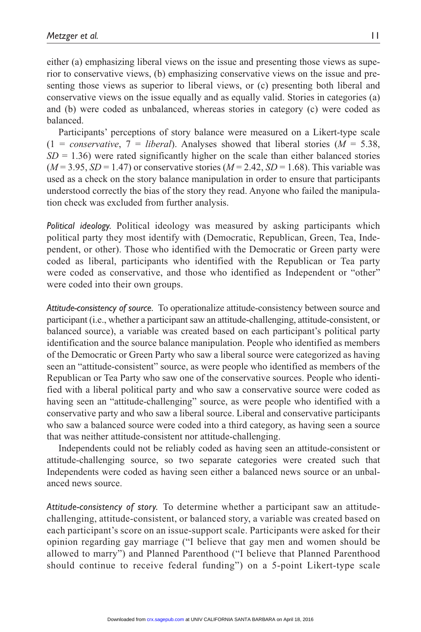either (a) emphasizing liberal views on the issue and presenting those views as superior to conservative views, (b) emphasizing conservative views on the issue and presenting those views as superior to liberal views, or (c) presenting both liberal and conservative views on the issue equally and as equally valid. Stories in categories (a) and (b) were coded as unbalanced, whereas stories in category (c) were coded as balanced.

Participants' perceptions of story balance were measured on a Likert-type scale  $(1 = conservative, 7 = liberal)$ . Analyses showed that liberal stories  $(M = 5.38,$  $SD = 1.36$ ) were rated significantly higher on the scale than either balanced stories  $(M = 3.95, SD = 1.47)$  or conservative stories  $(M = 2.42, SD = 1.68)$ . This variable was used as a check on the story balance manipulation in order to ensure that participants understood correctly the bias of the story they read. Anyone who failed the manipulation check was excluded from further analysis.

*Political ideology.* Political ideology was measured by asking participants which political party they most identify with (Democratic, Republican, Green, Tea, Independent, or other). Those who identified with the Democratic or Green party were coded as liberal, participants who identified with the Republican or Tea party were coded as conservative, and those who identified as Independent or "other" were coded into their own groups.

*Attitude-consistency of source.* To operationalize attitude-consistency between source and participant (i.e., whether a participant saw an attitude-challenging, attitude-consistent, or balanced source), a variable was created based on each participant's political party identification and the source balance manipulation. People who identified as members of the Democratic or Green Party who saw a liberal source were categorized as having seen an "attitude-consistent" source, as were people who identified as members of the Republican or Tea Party who saw one of the conservative sources. People who identified with a liberal political party and who saw a conservative source were coded as having seen an "attitude-challenging" source, as were people who identified with a conservative party and who saw a liberal source. Liberal and conservative participants who saw a balanced source were coded into a third category, as having seen a source that was neither attitude-consistent nor attitude-challenging.

Independents could not be reliably coded as having seen an attitude-consistent or attitude-challenging source, so two separate categories were created such that Independents were coded as having seen either a balanced news source or an unbalanced news source.

*Attitude-consistency of story.* To determine whether a participant saw an attitudechallenging, attitude-consistent, or balanced story, a variable was created based on each participant's score on an issue-support scale. Participants were asked for their opinion regarding gay marriage ("I believe that gay men and women should be allowed to marry") and Planned Parenthood ("I believe that Planned Parenthood should continue to receive federal funding") on a 5-point Likert-type scale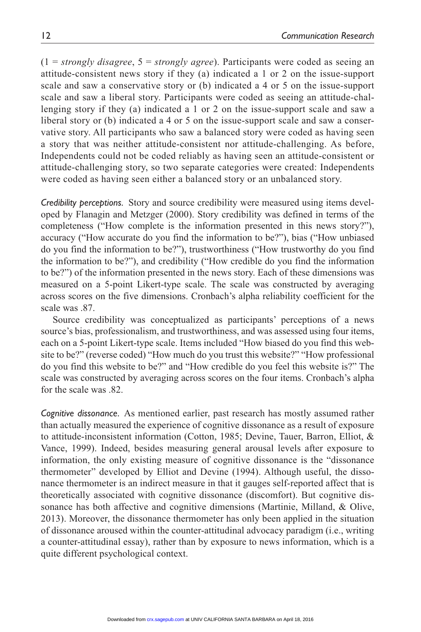(1 = *strongly disagree*, 5 = *strongly agree*). Participants were coded as seeing an attitude-consistent news story if they (a) indicated a 1 or 2 on the issue-support scale and saw a conservative story or (b) indicated a 4 or 5 on the issue-support scale and saw a liberal story. Participants were coded as seeing an attitude-challenging story if they (a) indicated a 1 or 2 on the issue-support scale and saw a liberal story or (b) indicated a 4 or 5 on the issue-support scale and saw a conservative story. All participants who saw a balanced story were coded as having seen a story that was neither attitude-consistent nor attitude-challenging. As before, Independents could not be coded reliably as having seen an attitude-consistent or attitude-challenging story, so two separate categories were created: Independents were coded as having seen either a balanced story or an unbalanced story.

*Credibility perceptions.* Story and source credibility were measured using items developed by Flanagin and Metzger (2000). Story credibility was defined in terms of the completeness ("How complete is the information presented in this news story?"), accuracy ("How accurate do you find the information to be?"), bias ("How unbiased do you find the information to be?"), trustworthiness ("How trustworthy do you find the information to be?"), and credibility ("How credible do you find the information to be?") of the information presented in the news story. Each of these dimensions was measured on a 5-point Likert-type scale. The scale was constructed by averaging across scores on the five dimensions. Cronbach's alpha reliability coefficient for the scale was .87.

Source credibility was conceptualized as participants' perceptions of a news source's bias, professionalism, and trustworthiness, and was assessed using four items, each on a 5-point Likert-type scale. Items included "How biased do you find this website to be?" (reverse coded) "How much do you trust this website?" "How professional do you find this website to be?" and "How credible do you feel this website is?" The scale was constructed by averaging across scores on the four items. Cronbach's alpha for the scale was .82.

*Cognitive dissonance.* As mentioned earlier, past research has mostly assumed rather than actually measured the experience of cognitive dissonance as a result of exposure to attitude-inconsistent information (Cotton, 1985; Devine, Tauer, Barron, Elliot, & Vance, 1999). Indeed, besides measuring general arousal levels after exposure to information, the only existing measure of cognitive dissonance is the "dissonance thermometer" developed by Elliot and Devine (1994). Although useful, the dissonance thermometer is an indirect measure in that it gauges self-reported affect that is theoretically associated with cognitive dissonance (discomfort). But cognitive dissonance has both affective and cognitive dimensions (Martinie, Milland, & Olive, 2013). Moreover, the dissonance thermometer has only been applied in the situation of dissonance aroused within the counter-attitudinal advocacy paradigm (i.e., writing a counter-attitudinal essay), rather than by exposure to news information, which is a quite different psychological context.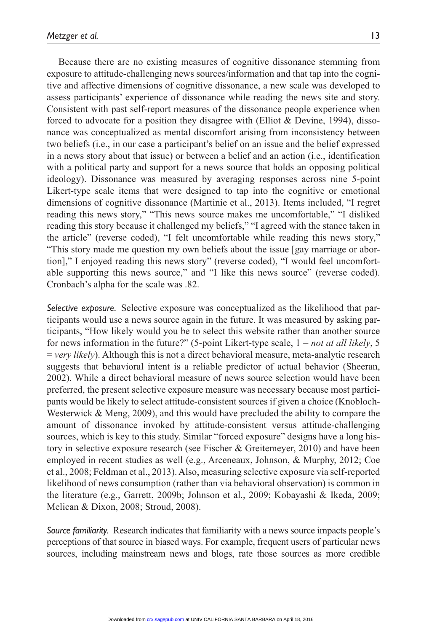Because there are no existing measures of cognitive dissonance stemming from exposure to attitude-challenging news sources/information and that tap into the cognitive and affective dimensions of cognitive dissonance, a new scale was developed to assess participants' experience of dissonance while reading the news site and story. Consistent with past self-report measures of the dissonance people experience when forced to advocate for a position they disagree with (Elliot & Devine, 1994), dissonance was conceptualized as mental discomfort arising from inconsistency between two beliefs (i.e., in our case a participant's belief on an issue and the belief expressed in a news story about that issue) or between a belief and an action (i.e., identification with a political party and support for a news source that holds an opposing political ideology). Dissonance was measured by averaging responses across nine 5-point Likert-type scale items that were designed to tap into the cognitive or emotional dimensions of cognitive dissonance (Martinie et al., 2013). Items included, "I regret reading this news story," "This news source makes me uncomfortable," "I disliked reading this story because it challenged my beliefs," "I agreed with the stance taken in the article" (reverse coded), "I felt uncomfortable while reading this news story," "This story made me question my own beliefs about the issue [gay marriage or abortion]," I enjoyed reading this news story" (reverse coded), "I would feel uncomfortable supporting this news source," and "I like this news source" (reverse coded). Cronbach's alpha for the scale was .82.

*Selective exposure.* Selective exposure was conceptualized as the likelihood that participants would use a news source again in the future. It was measured by asking participants, "How likely would you be to select this website rather than another source for news information in the future?" (5-point Likert-type scale, 1 = *not at all likely*, 5 = *very likely*). Although this is not a direct behavioral measure, meta-analytic research suggests that behavioral intent is a reliable predictor of actual behavior (Sheeran, 2002). While a direct behavioral measure of news source selection would have been preferred, the present selective exposure measure was necessary because most participants would be likely to select attitude-consistent sources if given a choice (Knobloch-Westerwick & Meng, 2009), and this would have precluded the ability to compare the amount of dissonance invoked by attitude-consistent versus attitude-challenging sources, which is key to this study. Similar "forced exposure" designs have a long history in selective exposure research (see Fischer & Greitemeyer, 2010) and have been employed in recent studies as well (e.g., Arceneaux, Johnson, & Murphy, 2012; Coe et al., 2008; Feldman et al., 2013). Also, measuring selective exposure via self-reported likelihood of news consumption (rather than via behavioral observation) is common in the literature (e.g., Garrett, 2009b; Johnson et al., 2009; Kobayashi & Ikeda, 2009; Melican & Dixon, 2008; Stroud, 2008).

*Source familiarity.* Research indicates that familiarity with a news source impacts people's perceptions of that source in biased ways. For example, frequent users of particular news sources, including mainstream news and blogs, rate those sources as more credible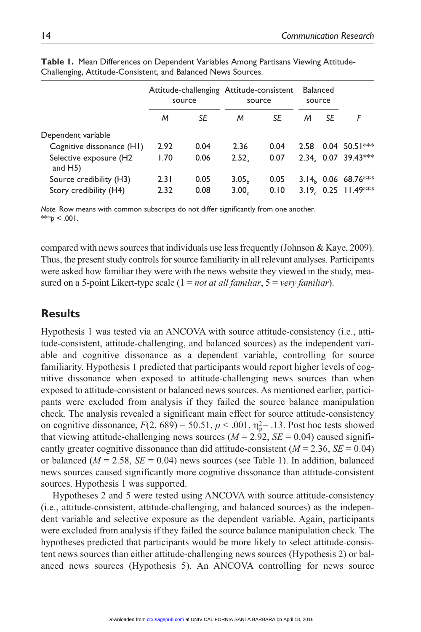|                                      | Attitude-challenging Attitude-consistent<br>source |      | source            |      | <b>Balanced</b><br>source |    |                                             |  |
|--------------------------------------|----------------------------------------------------|------|-------------------|------|---------------------------|----|---------------------------------------------|--|
|                                      | M                                                  | SE   | м                 | SF   | M                         | SF |                                             |  |
| Dependent variable                   |                                                    |      |                   |      |                           |    |                                             |  |
| Cognitive dissonance (H1)            | 2.92                                               | 0.04 | 2.36              | 0.04 | 2.58                      |    | $0.04$ 50.51***                             |  |
| Selective exposure (H2<br>and $H5$ ) | 1.70                                               | 0.06 | 2.52              | 0.07 |                           |    | 2.34, 0.07 39.43***                         |  |
| Source credibility (H3)              | 2.31                                               | 0.05 | 3.05 <sub>b</sub> | 0.05 |                           |    | 3.14 <sub>h</sub> 0.06 68.76 <sup>***</sup> |  |
| Story credibility (H4)               | 2.32                                               | 0.08 | 3.00 <sub>z</sub> | 0.10 |                           |    | 3.19, 0.25 11.49**                          |  |

**Table 1.** Mean Differences on Dependent Variables Among Partisans Viewing Attitude-Challenging, Attitude-Consistent, and Balanced News Sources.

*Note.* Row means with common subscripts do not differ significantly from one another. \*\**p* < .001.

compared with news sources that individuals use less frequently (Johnson & Kaye, 2009). Thus, the present study controls for source familiarity in all relevant analyses. Participants were asked how familiar they were with the news website they viewed in the study, measured on a 5-point Likert-type scale (1 = *not at all familiar*, 5 = *very familiar*).

## **Results**

Hypothesis 1 was tested via an ANCOVA with source attitude-consistency (i.e., attitude-consistent, attitude-challenging, and balanced sources) as the independent variable and cognitive dissonance as a dependent variable, controlling for source familiarity. Hypothesis 1 predicted that participants would report higher levels of cognitive dissonance when exposed to attitude-challenging news sources than when exposed to attitude-consistent or balanced news sources. As mentioned earlier, participants were excluded from analysis if they failed the source balance manipulation check. The analysis revealed a significant main effect for source attitude-consistency on cognitive dissonance,  $F(2, 689) = 50.51$ ,  $p < .001$ ,  $\eta_{p}^{2} = .13$ . Post hoc tests showed that viewing attitude-challenging news sources  $(M = 2.92, SE = 0.04)$  caused significantly greater cognitive dissonance than did attitude-consistent  $(M = 2.36, SE = 0.04)$ or balanced  $(M = 2.58, SE = 0.04)$  news sources (see Table 1). In addition, balanced news sources caused significantly more cognitive dissonance than attitude-consistent sources. Hypothesis 1 was supported.

Hypotheses 2 and 5 were tested using ANCOVA with source attitude-consistency (i.e., attitude-consistent, attitude-challenging, and balanced sources) as the independent variable and selective exposure as the dependent variable. Again, participants were excluded from analysis if they failed the source balance manipulation check. The hypotheses predicted that participants would be more likely to select attitude-consistent news sources than either attitude-challenging news sources (Hypothesis 2) or balanced news sources (Hypothesis 5). An ANCOVA controlling for news source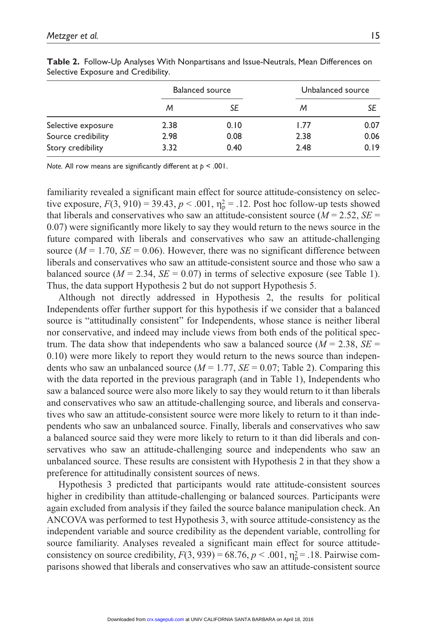|                    |      | Balanced source | Unbalanced source |      |  |
|--------------------|------|-----------------|-------------------|------|--|
|                    | м    | SE              | м                 | SE   |  |
| Selective exposure | 2.38 | 0.10            | 1.77              | 0.07 |  |
| Source credibility | 2.98 | 0.08            | 2.38              | 0.06 |  |
| Story credibility  | 3.32 | 0.40            | 2.48              | 0.19 |  |

**Table 2.** Follow-Up Analyses With Nonpartisans and Issue-Neutrals, Mean Differences on Selective Exposure and Credibility.

*Note.* All row means are significantly different at *p* < .001.

familiarity revealed a significant main effect for source attitude-consistency on selective exposure,  $F(3, 910) = 39.43$ ,  $p < .001$ ,  $\eta_p^2 = .12$ . Post hoc follow-up tests showed that liberals and conservatives who saw an attitude-consistent source  $(M = 2.52, SE =$ 0.07) were significantly more likely to say they would return to the news source in the future compared with liberals and conservatives who saw an attitude-challenging source  $(M = 1.70, SE = 0.06)$ . However, there was no significant difference between liberals and conservatives who saw an attitude-consistent source and those who saw a balanced source  $(M = 2.34, SE = 0.07)$  in terms of selective exposure (see Table 1). Thus, the data support Hypothesis 2 but do not support Hypothesis 5.

Although not directly addressed in Hypothesis 2, the results for political Independents offer further support for this hypothesis if we consider that a balanced source is "attitudinally consistent" for Independents, whose stance is neither liberal nor conservative, and indeed may include views from both ends of the political spectrum. The data show that independents who saw a balanced source  $(M = 2.38, SE =$ 0.10) were more likely to report they would return to the news source than independents who saw an unbalanced source  $(M = 1.77, SE = 0.07;$  Table 2). Comparing this with the data reported in the previous paragraph (and in Table 1), Independents who saw a balanced source were also more likely to say they would return to it than liberals and conservatives who saw an attitude-challenging source, and liberals and conservatives who saw an attitude-consistent source were more likely to return to it than independents who saw an unbalanced source. Finally, liberals and conservatives who saw a balanced source said they were more likely to return to it than did liberals and conservatives who saw an attitude-challenging source and independents who saw an unbalanced source. These results are consistent with Hypothesis 2 in that they show a preference for attitudinally consistent sources of news.

Hypothesis 3 predicted that participants would rate attitude-consistent sources higher in credibility than attitude-challenging or balanced sources. Participants were again excluded from analysis if they failed the source balance manipulation check. An ANCOVA was performed to test Hypothesis 3, with source attitude-consistency as the independent variable and source credibility as the dependent variable, controlling for source familiarity. Analyses revealed a significant main effect for source attitudeconsistency on source credibility,  $F(3, 939) = 68.76$ ,  $p < .001$ ,  $\eta_p^2 = .18$ . Pairwise comparisons showed that liberals and conservatives who saw an attitude-consistent source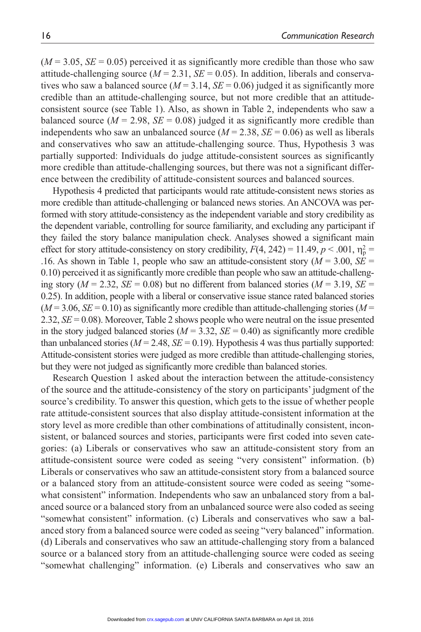$(M = 3.05, SE = 0.05)$  perceived it as significantly more credible than those who saw attitude-challenging source ( $M = 2.31$ ,  $SE = 0.05$ ). In addition, liberals and conservatives who saw a balanced source  $(M = 3.14, SE = 0.06)$  judged it as significantly more credible than an attitude-challenging source, but not more credible that an attitudeconsistent source (see Table 1). Also, as shown in Table 2, independents who saw a balanced source ( $M = 2.98$ ,  $SE = 0.08$ ) judged it as significantly more credible than independents who saw an unbalanced source  $(M = 2.38, SE = 0.06)$  as well as liberals and conservatives who saw an attitude-challenging source. Thus, Hypothesis 3 was partially supported: Individuals do judge attitude-consistent sources as significantly more credible than attitude-challenging sources, but there was not a significant difference between the credibility of attitude-consistent sources and balanced sources.

Hypothesis 4 predicted that participants would rate attitude-consistent news stories as more credible than attitude-challenging or balanced news stories. An ANCOVA was performed with story attitude-consistency as the independent variable and story credibility as the dependent variable, controlling for source familiarity, and excluding any participant if they failed the story balance manipulation check. Analyses showed a significant main effect for story attitude-consistency on story credibility,  $F(4, 242) = 11.49$ ,  $p < .001$ ,  $\eta_p^2 =$ .16. As shown in Table 1, people who saw an attitude-consistent story ( $M = 3.00$ ,  $SE =$ 0.10) perceived it as significantly more credible than people who saw an attitude-challenging story ( $M = 2.32$ ,  $SE = 0.08$ ) but no different from balanced stories ( $M = 3.19$ ,  $SE =$ 0.25). In addition, people with a liberal or conservative issue stance rated balanced stories  $(M=3.06, SE=0.10)$  as significantly more credible than attitude-challenging stories  $(M=$ 2.32, *SE* = 0.08). Moreover, Table 2 shows people who were neutral on the issue presented in the story judged balanced stories ( $M = 3.32$ ,  $SE = 0.40$ ) as significantly more credible than unbalanced stories ( $M = 2.48$ ,  $SE = 0.19$ ). Hypothesis 4 was thus partially supported: Attitude-consistent stories were judged as more credible than attitude-challenging stories, but they were not judged as significantly more credible than balanced stories.

Research Question 1 asked about the interaction between the attitude-consistency of the source and the attitude-consistency of the story on participants' judgment of the source's credibility. To answer this question, which gets to the issue of whether people rate attitude-consistent sources that also display attitude-consistent information at the story level as more credible than other combinations of attitudinally consistent, inconsistent, or balanced sources and stories, participants were first coded into seven categories: (a) Liberals or conservatives who saw an attitude-consistent story from an attitude-consistent source were coded as seeing "very consistent" information. (b) Liberals or conservatives who saw an attitude-consistent story from a balanced source or a balanced story from an attitude-consistent source were coded as seeing "somewhat consistent" information. Independents who saw an unbalanced story from a balanced source or a balanced story from an unbalanced source were also coded as seeing "somewhat consistent" information. (c) Liberals and conservatives who saw a balanced story from a balanced source were coded as seeing "very balanced" information. (d) Liberals and conservatives who saw an attitude-challenging story from a balanced source or a balanced story from an attitude-challenging source were coded as seeing "somewhat challenging" information. (e) Liberals and conservatives who saw an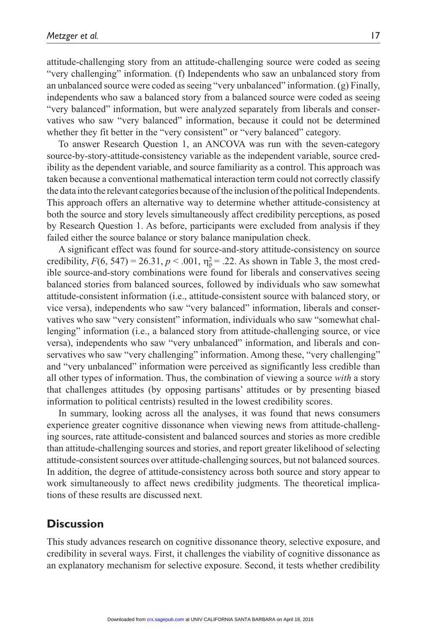attitude-challenging story from an attitude-challenging source were coded as seeing "very challenging" information. (f) Independents who saw an unbalanced story from an unbalanced source were coded as seeing "very unbalanced" information. (g) Finally, independents who saw a balanced story from a balanced source were coded as seeing "very balanced" information, but were analyzed separately from liberals and conservatives who saw "very balanced" information, because it could not be determined whether they fit better in the "very consistent" or "very balanced" category.

To answer Research Question 1, an ANCOVA was run with the seven-category source-by-story-attitude-consistency variable as the independent variable, source credibility as the dependent variable, and source familiarity as a control. This approach was taken because a conventional mathematical interaction term could not correctly classify the data into the relevant categories because of the inclusion of the political Independents. This approach offers an alternative way to determine whether attitude-consistency at both the source and story levels simultaneously affect credibility perceptions, as posed by Research Question 1. As before, participants were excluded from analysis if they failed either the source balance or story balance manipulation check.

A significant effect was found for source-and-story attitude-consistency on source credibility,  $F(6, 547) = 26.31, p < .001, \eta_p^2 = .22$ . As shown in Table 3, the most credible source-and-story combinations were found for liberals and conservatives seeing balanced stories from balanced sources, followed by individuals who saw somewhat attitude-consistent information (i.e., attitude-consistent source with balanced story, or vice versa), independents who saw "very balanced" information, liberals and conservatives who saw "very consistent" information, individuals who saw "somewhat challenging" information (i.e., a balanced story from attitude-challenging source, or vice versa), independents who saw "very unbalanced" information, and liberals and conservatives who saw "very challenging" information. Among these, "very challenging" and "very unbalanced" information were perceived as significantly less credible than all other types of information. Thus, the combination of viewing a source *with* a story that challenges attitudes (by opposing partisans' attitudes or by presenting biased information to political centrists) resulted in the lowest credibility scores.

In summary, looking across all the analyses, it was found that news consumers experience greater cognitive dissonance when viewing news from attitude-challenging sources, rate attitude-consistent and balanced sources and stories as more credible than attitude-challenging sources and stories, and report greater likelihood of selecting attitude-consistent sources over attitude-challenging sources, but not balanced sources. In addition, the degree of attitude-consistency across both source and story appear to work simultaneously to affect news credibility judgments. The theoretical implications of these results are discussed next.

### **Discussion**

This study advances research on cognitive dissonance theory, selective exposure, and credibility in several ways. First, it challenges the viability of cognitive dissonance as an explanatory mechanism for selective exposure. Second, it tests whether credibility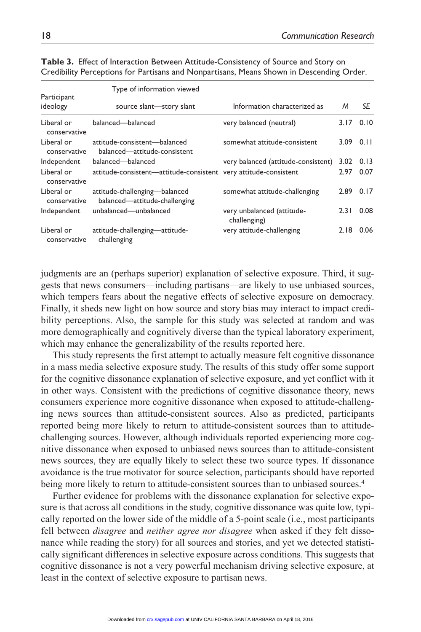|                            | Type of information viewed                                       |                                            |      |             |
|----------------------------|------------------------------------------------------------------|--------------------------------------------|------|-------------|
| Participant<br>ideology    | source slant-story slant                                         | Information characterized as               |      | SF          |
| Liberal or<br>conservative | balanced-balanced                                                | very balanced (neutral)                    | 3.17 | 0.10        |
| Liberal or<br>conservative | attitude-consistent-balanced<br>balanced—attitude-consistent     | somewhat attitude-consistent               |      | $3.09$ 0.11 |
| Independent                | balanced-balanced                                                | very balanced (attitude-consistent)        | 3.02 | 0.13        |
| Liberal or<br>conservative | attitude-consistent-attitude-consistent very attitude-consistent |                                            | 2.97 | 0.07        |
| Liberal or<br>conservative | attitude-challenging-balanced<br>balanced-attitude-challenging   | somewhat attitude-challenging              | 2.89 | 0.17        |
| Independent                | unbalanced-unbalanced                                            | very unbalanced (attitude-<br>challenging) | 2.31 | 0.08        |
| Liberal or<br>conservative | attitude-challenging-attitude-<br>challenging                    | very attitude-challenging                  | 2.18 | 0.06        |

**Table 3.** Effect of Interaction Between Attitude-Consistency of Source and Story on Credibility Perceptions for Partisans and Nonpartisans, Means Shown in Descending Order.

judgments are an (perhaps superior) explanation of selective exposure. Third, it suggests that news consumers—including partisans—are likely to use unbiased sources, which tempers fears about the negative effects of selective exposure on democracy. Finally, it sheds new light on how source and story bias may interact to impact credibility perceptions. Also, the sample for this study was selected at random and was more demographically and cognitively diverse than the typical laboratory experiment, which may enhance the generalizability of the results reported here.

This study represents the first attempt to actually measure felt cognitive dissonance in a mass media selective exposure study. The results of this study offer some support for the cognitive dissonance explanation of selective exposure, and yet conflict with it in other ways. Consistent with the predictions of cognitive dissonance theory, news consumers experience more cognitive dissonance when exposed to attitude-challenging news sources than attitude-consistent sources. Also as predicted, participants reported being more likely to return to attitude-consistent sources than to attitudechallenging sources. However, although individuals reported experiencing more cognitive dissonance when exposed to unbiased news sources than to attitude-consistent news sources, they are equally likely to select these two source types. If dissonance avoidance is the true motivator for source selection, participants should have reported being more likely to return to attitude-consistent sources than to unbiased sources.<sup>4</sup>

Further evidence for problems with the dissonance explanation for selective exposure is that across all conditions in the study, cognitive dissonance was quite low, typically reported on the lower side of the middle of a 5-point scale (i.e., most participants fell between *disagree* and *neither agree nor disagree* when asked if they felt dissonance while reading the story) for all sources and stories, and yet we detected statistically significant differences in selective exposure across conditions. This suggests that cognitive dissonance is not a very powerful mechanism driving selective exposure, at least in the context of selective exposure to partisan news.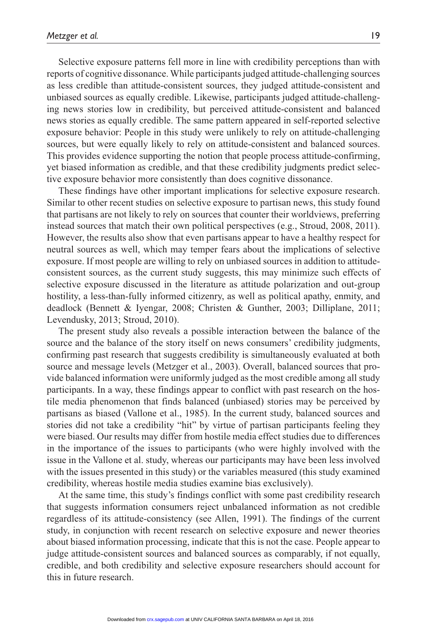Selective exposure patterns fell more in line with credibility perceptions than with reports of cognitive dissonance. While participants judged attitude-challenging sources as less credible than attitude-consistent sources, they judged attitude-consistent and unbiased sources as equally credible. Likewise, participants judged attitude-challenging news stories low in credibility, but perceived attitude-consistent and balanced news stories as equally credible. The same pattern appeared in self-reported selective exposure behavior: People in this study were unlikely to rely on attitude-challenging sources, but were equally likely to rely on attitude-consistent and balanced sources. This provides evidence supporting the notion that people process attitude-confirming, yet biased information as credible, and that these credibility judgments predict selective exposure behavior more consistently than does cognitive dissonance.

These findings have other important implications for selective exposure research. Similar to other recent studies on selective exposure to partisan news, this study found that partisans are not likely to rely on sources that counter their worldviews, preferring instead sources that match their own political perspectives (e.g., Stroud, 2008, 2011). However, the results also show that even partisans appear to have a healthy respect for neutral sources as well, which may temper fears about the implications of selective exposure. If most people are willing to rely on unbiased sources in addition to attitudeconsistent sources, as the current study suggests, this may minimize such effects of selective exposure discussed in the literature as attitude polarization and out-group hostility, a less-than-fully informed citizenry, as well as political apathy, enmity, and deadlock (Bennett & Iyengar, 2008; Christen & Gunther, 2003; Dilliplane, 2011; Levendusky, 2013; Stroud, 2010).

The present study also reveals a possible interaction between the balance of the source and the balance of the story itself on news consumers' credibility judgments, confirming past research that suggests credibility is simultaneously evaluated at both source and message levels (Metzger et al., 2003). Overall, balanced sources that provide balanced information were uniformly judged as the most credible among all study participants. In a way, these findings appear to conflict with past research on the hostile media phenomenon that finds balanced (unbiased) stories may be perceived by partisans as biased (Vallone et al., 1985). In the current study, balanced sources and stories did not take a credibility "hit" by virtue of partisan participants feeling they were biased. Our results may differ from hostile media effect studies due to differences in the importance of the issues to participants (who were highly involved with the issue in the Vallone et al. study, whereas our participants may have been less involved with the issues presented in this study) or the variables measured (this study examined credibility, whereas hostile media studies examine bias exclusively).

At the same time, this study's findings conflict with some past credibility research that suggests information consumers reject unbalanced information as not credible regardless of its attitude-consistency (see Allen, 1991). The findings of the current study, in conjunction with recent research on selective exposure and newer theories about biased information processing, indicate that this is not the case. People appear to judge attitude-consistent sources and balanced sources as comparably, if not equally, credible, and both credibility and selective exposure researchers should account for this in future research.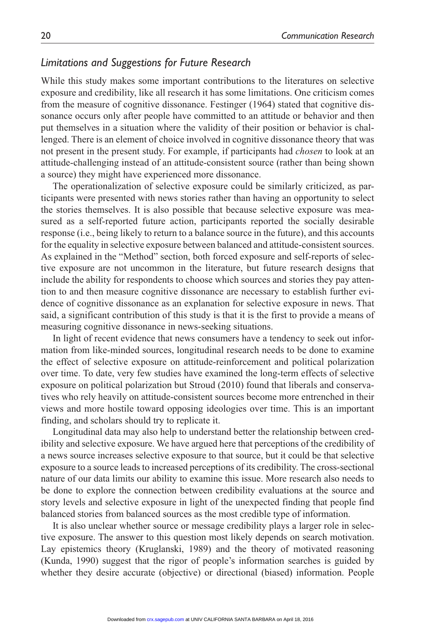# *Limitations and Suggestions for Future Research*

While this study makes some important contributions to the literatures on selective exposure and credibility, like all research it has some limitations. One criticism comes from the measure of cognitive dissonance. Festinger (1964) stated that cognitive dissonance occurs only after people have committed to an attitude or behavior and then put themselves in a situation where the validity of their position or behavior is challenged. There is an element of choice involved in cognitive dissonance theory that was not present in the present study. For example, if participants had *chosen* to look at an attitude-challenging instead of an attitude-consistent source (rather than being shown a source) they might have experienced more dissonance.

The operationalization of selective exposure could be similarly criticized, as participants were presented with news stories rather than having an opportunity to select the stories themselves. It is also possible that because selective exposure was measured as a self-reported future action, participants reported the socially desirable response (i.e., being likely to return to a balance source in the future), and this accounts for the equality in selective exposure between balanced and attitude-consistent sources. As explained in the "Method" section, both forced exposure and self-reports of selective exposure are not uncommon in the literature, but future research designs that include the ability for respondents to choose which sources and stories they pay attention to and then measure cognitive dissonance are necessary to establish further evidence of cognitive dissonance as an explanation for selective exposure in news. That said, a significant contribution of this study is that it is the first to provide a means of measuring cognitive dissonance in news-seeking situations.

In light of recent evidence that news consumers have a tendency to seek out information from like-minded sources, longitudinal research needs to be done to examine the effect of selective exposure on attitude-reinforcement and political polarization over time. To date, very few studies have examined the long-term effects of selective exposure on political polarization but Stroud (2010) found that liberals and conservatives who rely heavily on attitude-consistent sources become more entrenched in their views and more hostile toward opposing ideologies over time. This is an important finding, and scholars should try to replicate it.

Longitudinal data may also help to understand better the relationship between credibility and selective exposure. We have argued here that perceptions of the credibility of a news source increases selective exposure to that source, but it could be that selective exposure to a source leads to increased perceptions of its credibility. The cross-sectional nature of our data limits our ability to examine this issue. More research also needs to be done to explore the connection between credibility evaluations at the source and story levels and selective exposure in light of the unexpected finding that people find balanced stories from balanced sources as the most credible type of information.

It is also unclear whether source or message credibility plays a larger role in selective exposure. The answer to this question most likely depends on search motivation. Lay epistemics theory (Kruglanski, 1989) and the theory of motivated reasoning (Kunda, 1990) suggest that the rigor of people's information searches is guided by whether they desire accurate (objective) or directional (biased) information. People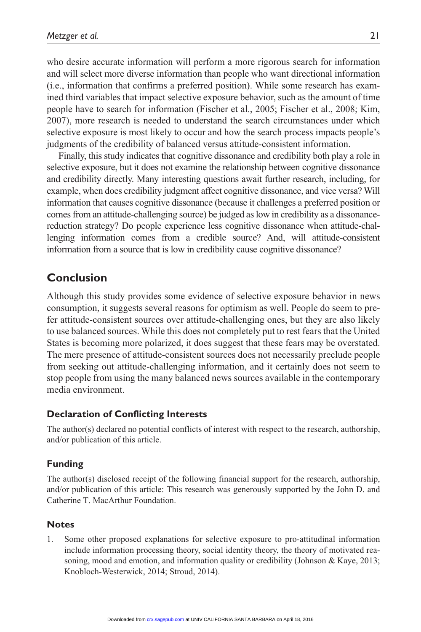who desire accurate information will perform a more rigorous search for information and will select more diverse information than people who want directional information (i.e., information that confirms a preferred position). While some research has examined third variables that impact selective exposure behavior, such as the amount of time people have to search for information (Fischer et al., 2005; Fischer et al., 2008; Kim, 2007), more research is needed to understand the search circumstances under which selective exposure is most likely to occur and how the search process impacts people's judgments of the credibility of balanced versus attitude-consistent information.

Finally, this study indicates that cognitive dissonance and credibility both play a role in selective exposure, but it does not examine the relationship between cognitive dissonance and credibility directly. Many interesting questions await further research, including, for example, when does credibility judgment affect cognitive dissonance, and vice versa? Will information that causes cognitive dissonance (because it challenges a preferred position or comes from an attitude-challenging source) be judged as low in credibility as a dissonancereduction strategy? Do people experience less cognitive dissonance when attitude-challenging information comes from a credible source? And, will attitude-consistent information from a source that is low in credibility cause cognitive dissonance?

# **Conclusion**

Although this study provides some evidence of selective exposure behavior in news consumption, it suggests several reasons for optimism as well. People do seem to prefer attitude-consistent sources over attitude-challenging ones, but they are also likely to use balanced sources. While this does not completely put to rest fears that the United States is becoming more polarized, it does suggest that these fears may be overstated. The mere presence of attitude-consistent sources does not necessarily preclude people from seeking out attitude-challenging information, and it certainly does not seem to stop people from using the many balanced news sources available in the contemporary media environment.

## **Declaration of Conflicting Interests**

The author(s) declared no potential conflicts of interest with respect to the research, authorship, and/or publication of this article.

## **Funding**

The author(s) disclosed receipt of the following financial support for the research, authorship, and/or publication of this article: This research was generously supported by the John D. and Catherine T. MacArthur Foundation.

## **Notes**

1. Some other proposed explanations for selective exposure to pro-attitudinal information include information processing theory, social identity theory, the theory of motivated reasoning, mood and emotion, and information quality or credibility (Johnson & Kaye, 2013; Knobloch-Westerwick, 2014; Stroud, 2014).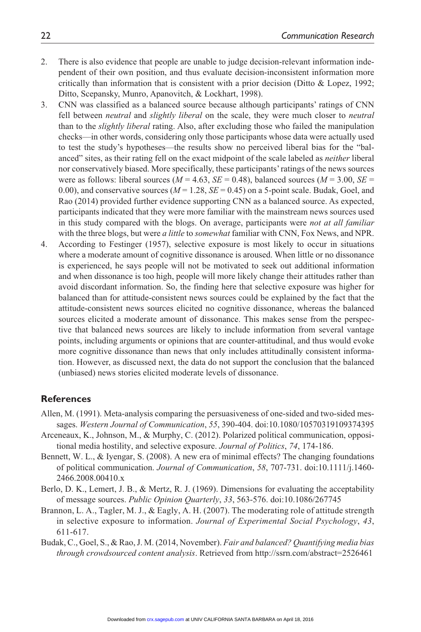- 2. There is also evidence that people are unable to judge decision-relevant information independent of their own position, and thus evaluate decision-inconsistent information more critically than information that is consistent with a prior decision (Ditto & Lopez, 1992; Ditto, Scepansky, Munro, Apanovitch, & Lockhart, 1998).
- 3. CNN was classified as a balanced source because although participants' ratings of CNN fell between *neutral* and *slightly liberal* on the scale, they were much closer to *neutral* than to the *slightly liberal* rating. Also, after excluding those who failed the manipulation checks—in other words, considering only those participants whose data were actually used to test the study's hypotheses—the results show no perceived liberal bias for the "balanced" sites, as their rating fell on the exact midpoint of the scale labeled as *neither* liberal nor conservatively biased. More specifically, these participants' ratings of the news sources were as follows: liberal sources ( $M = 4.63$ ,  $SE = 0.48$ ), balanced sources ( $M = 3.00$ ,  $SE =$ 0.00), and conservative sources  $(M = 1.28, SE = 0.45)$  on a 5-point scale. Budak, Goel, and Rao (2014) provided further evidence supporting CNN as a balanced source. As expected, participants indicated that they were more familiar with the mainstream news sources used in this study compared with the blogs. On average, participants were *not at all familiar* with the three blogs, but were *a little* to *somewhat* familiar with CNN, Fox News, and NPR.
- 4. According to Festinger (1957), selective exposure is most likely to occur in situations where a moderate amount of cognitive dissonance is aroused. When little or no dissonance is experienced, he says people will not be motivated to seek out additional information and when dissonance is too high, people will more likely change their attitudes rather than avoid discordant information. So, the finding here that selective exposure was higher for balanced than for attitude-consistent news sources could be explained by the fact that the attitude-consistent news sources elicited no cognitive dissonance, whereas the balanced sources elicited a moderate amount of dissonance. This makes sense from the perspective that balanced news sources are likely to include information from several vantage points, including arguments or opinions that are counter-attitudinal, and thus would evoke more cognitive dissonance than news that only includes attitudinally consistent information. However, as discussed next, the data do not support the conclusion that the balanced (unbiased) news stories elicited moderate levels of dissonance.

#### **References**

- Allen, M. (1991). Meta-analysis comparing the persuasiveness of one-sided and two-sided messages. *Western Journal of Communication*, *55*, 390-404. doi:10.1080/10570319109374395
- Arceneaux, K., Johnson, M., & Murphy, C. (2012). Polarized political communication, oppositional media hostility, and selective exposure. *Journal of Politics*, *74*, 174-186.
- Bennett, W. L., & Iyengar, S. (2008). A new era of minimal effects? The changing foundations of political communication. *Journal of Communication*, *58*, 707-731. doi:10.1111/j.1460- 2466.2008.00410.x
- Berlo, D. K., Lemert, J. B., & Mertz, R. J. (1969). Dimensions for evaluating the acceptability of message sources. *Public Opinion Quarterly*, *33*, 563-576. doi:10.1086/267745
- Brannon, L. A., Tagler, M. J., & Eagly, A. H. (2007). The moderating role of attitude strength in selective exposure to information. *Journal of Experimental Social Psychology*, *43*, 611-617.
- Budak, C., Goel, S., & Rao, J. M. (2014, November). *Fair and balanced? Quantifying media bias through crowdsourced content analysis*. Retrieved from <http://ssrn.com/abstract=2526461>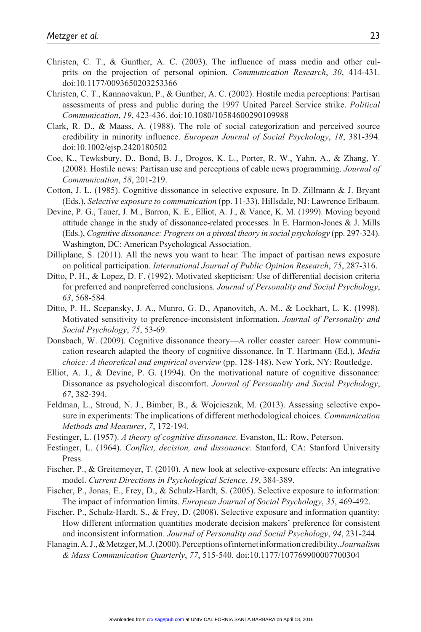- Christen, C. T., & Gunther, A. C. (2003). The influence of mass media and other culprits on the projection of personal opinion. *Communication Research*, *30*, 414-431. doi:10.1177/0093650203253366
- Christen, C. T., Kannaovakun, P., & Gunther, A. C. (2002). Hostile media perceptions: Partisan assessments of press and public during the 1997 United Parcel Service strike. *Political Communication*, *19*, 423-436. doi:10.1080/10584600290109988
- Clark, R. D., & Maass, A. (1988). The role of social categorization and perceived source credibility in minority influence. *European Journal of Social Psychology*, *18*, 381-394. doi:10.1002/ejsp.2420180502
- Coe, K., Tewksbury, D., Bond, B. J., Drogos, K. L., Porter, R. W., Yahn, A., & Zhang, Y. (2008). Hostile news: Partisan use and perceptions of cable news programming. *Journal of Communication*, *58*, 201-219.
- Cotton, J. L. (1985). Cognitive dissonance in selective exposure. In D. Zillmann & J. Bryant (Eds.), *Selective exposure to communication* (pp. 11-33). Hillsdale, NJ: Lawrence Erlbaum.
- Devine, P. G., Tauer, J. M., Barron, K. E., Elliot, A. J., & Vance, K. M. (1999). Moving beyond attitude change in the study of dissonance-related processes. In E. Harmon-Jones & J. Mills (Eds.), *Cognitive dissonance: Progress on a pivotal theory in social psychology* (pp. 297-324). Washington, DC: American Psychological Association.
- Dilliplane, S. (2011). All the news you want to hear: The impact of partisan news exposure on political participation. *International Journal of Public Opinion Research*, *75*, 287-316.
- Ditto, P. H., & Lopez, D. F. (1992). Motivated skepticism: Use of differential decision criteria for preferred and nonpreferred conclusions. *Journal of Personality and Social Psychology*, *63*, 568-584.
- Ditto, P. H., Scepansky, J. A., Munro, G. D., Apanovitch, A. M., & Lockhart, L. K. (1998). Motivated sensitivity to preference-inconsistent information. *Journal of Personality and Social Psychology*, *75*, 53-69.
- Donsbach, W. (2009). Cognitive dissonance theory—A roller coaster career: How communication research adapted the theory of cognitive dissonance. In T. Hartmann (Ed.), *Media choice: A theoretical and empirical overview* (pp. 128-148). New York, NY: Routledge.
- Elliot, A. J., & Devine, P. G. (1994). On the motivational nature of cognitive dissonance: Dissonance as psychological discomfort. *Journal of Personality and Social Psychology*, *67*, 382-394.
- Feldman, L., Stroud, N. J., Bimber, B., & Wojcieszak, M. (2013). Assessing selective exposure in experiments: The implications of different methodological choices. *Communication Methods and Measures*, *7*, 172-194.
- Festinger, L. (1957). *A theory of cognitive dissonance*. Evanston, IL: Row, Peterson.
- Festinger, L. (1964). *Conflict, decision, and dissonance*. Stanford, CA: Stanford University Press.
- Fischer, P., & Greitemeyer, T. (2010). A new look at selective-exposure effects: An integrative model. *Current Directions in Psychological Science*, *19*, 384-389.
- Fischer, P., Jonas, E., Frey, D., & Schulz-Hardt, S. (2005). Selective exposure to information: The impact of information limits. *European Journal of Social Psychology*, *35*, 469-492.
- Fischer, P., Schulz-Hardt, S., & Frey, D. (2008). Selective exposure and information quantity: How different information quantities moderate decision makers' preference for consistent and inconsistent information. *Journal of Personality and Social Psychology*, *94*, 231-244.
- Flanagin, A. J., & Metzger, M. J. (2000). Perceptions of internet information credibility. *Journalism & Mass Communication Quarterly*, *77*, 515-540. doi:10.1177/107769900007700304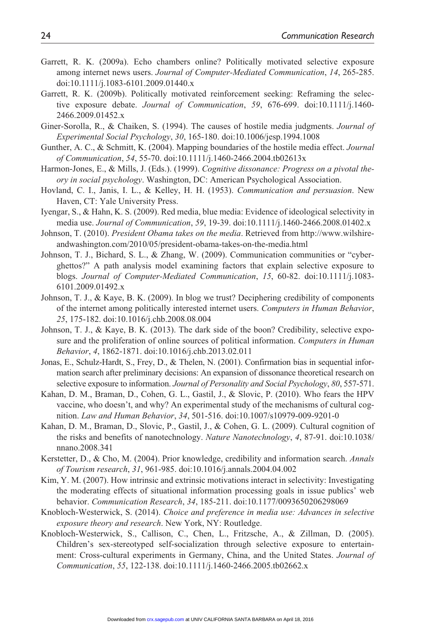- Garrett, R. K. (2009a). Echo chambers online? Politically motivated selective exposure among internet news users. *Journal of Computer-Mediated Communication*, *14*, 265-285. doi:10.1111/j.1083-6101.2009.01440.x
- Garrett, R. K. (2009b). Politically motivated reinforcement seeking: Reframing the selective exposure debate. *Journal of Communication*, *59*, 676-699. doi:10.1111/j.1460- 2466.2009.01452.x
- Giner-Sorolla, R., & Chaiken, S. (1994). The causes of hostile media judgments. *Journal of Experimental Social Psychology*, *30*, 165-180. doi:10.1006/jesp.1994.1008
- Gunther, A. C., & Schmitt, K. (2004). Mapping boundaries of the hostile media effect. *Journal of Communication*, *54*, 55-70. doi:10.1111/j.1460-2466.2004.tb02613x
- Harmon-Jones, E., & Mills, J. (Eds.). (1999). *Cognitive dissonance: Progress on a pivotal theory in social psychology*. Washington, DC: American Psychological Association.
- Hovland, C. I., Janis, I. L., & Kelley, H. H. (1953). *Communication and persuasion*. New Haven, CT: Yale University Press.
- Iyengar, S., & Hahn, K. S. (2009). Red media, blue media: Evidence of ideological selectivity in media use. *Journal of Communication*, *59*, 19-39. doi:10.1111/j.1460-2466.2008.01402.x
- Johnson, T. (2010). *President Obama takes on the media*. Retrieved from [http://www.wilshire](http://www.wilshireandwashington.com/2010/05/president-obama-takes-on-the-media.html)[andwashington.com/2010/05/president-obama-takes-on-the-media.html](http://www.wilshireandwashington.com/2010/05/president-obama-takes-on-the-media.html)
- Johnson, T. J., Bichard, S. L., & Zhang, W. (2009). Communication communities or "cyberghettos?" A path analysis model examining factors that explain selective exposure to blogs. *Journal of Computer-Mediated Communication*, *15*, 60-82. doi:10.1111/j.1083- 6101.2009.01492.x
- Johnson, T. J., & Kaye, B. K. (2009). In blog we trust? Deciphering credibility of components of the internet among politically interested internet users. *Computers in Human Behavior*, *25*, 175-182. doi:10.1016/j.chb.2008.08.004
- Johnson, T. J., & Kaye, B. K. (2013). The dark side of the boon? Credibility, selective exposure and the proliferation of online sources of political information. *Computers in Human Behavior*, *4*, 1862-1871. doi:10.1016/j.chb.2013.02.011
- Jonas, E., Schulz-Hardt, S., Frey, D., & Thelen, N. (2001). Confirmation bias in sequential information search after preliminary decisions: An expansion of dissonance theoretical research on selective exposure to information. *Journal of Personality and Social Psychology*, *80*, 557-571.
- Kahan, D. M., Braman, D., Cohen, G. L., Gastil, J., & Slovic, P. (2010). Who fears the HPV vaccine, who doesn't, and why? An experimental study of the mechanisms of cultural cognition. *Law and Human Behavior*, *34*, 501-516. doi:10.1007/s10979-009-9201-0
- Kahan, D. M., Braman, D., Slovic, P., Gastil, J., & Cohen, G. L. (2009). Cultural cognition of the risks and benefits of nanotechnology. *Nature Nanotechnology*, *4*, 87-91. doi:10.1038/ nnano.2008.341
- Kerstetter, D., & Cho, M. (2004). Prior knowledge, credibility and information search. *Annals of Tourism research*, *31*, 961-985. doi:10.1016/j.annals.2004.04.002
- Kim, Y. M. (2007). How intrinsic and extrinsic motivations interact in selectivity: Investigating the moderating effects of situational information processing goals in issue publics' web behavior. *Communication Research*, *34*, 185-211. doi:10.1177/0093650206298069
- Knobloch-Westerwick, S. (2014). *Choice and preference in media use: Advances in selective exposure theory and research*. New York, NY: Routledge.
- Knobloch-Westerwick, S., Callison, C., Chen, L., Fritzsche, A., & Zillman, D. (2005). Children's sex-stereotyped self-socialization through selective exposure to entertainment: Cross-cultural experiments in Germany, China, and the United States. *Journal of Communication*, *55*, 122-138. doi:10.1111/j.1460-2466.2005.tb02662.x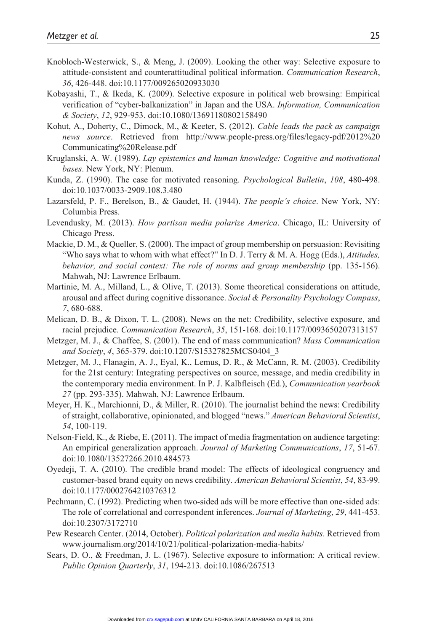- Knobloch-Westerwick, S., & Meng, J. (2009). Looking the other way: Selective exposure to attitude-consistent and counterattitudinal political information. *Communication Research*, *36*, 426-448. doi:10.1177/009265020933030
- Kobayashi, T., & Ikeda, K. (2009). Selective exposure in political web browsing: Empirical verification of "cyber-balkanization" in Japan and the USA. *Information, Communication & Society*, *12*, 929-953. doi:10.1080/13691180802158490
- Kohut, A., Doherty, C., Dimock, M., & Keeter, S. (2012). *Cable leads the pack as campaign news source*. Retrieved from [http://www.people-press.org/files/legacy-pdf/2012%20](http://www.people-press.org/files/legacy-pdf/2012%20Communicating%20Release.pdf) [Communicating%20Release.pdf](http://www.people-press.org/files/legacy-pdf/2012%20Communicating%20Release.pdf)
- Kruglanski, A. W. (1989). *Lay epistemics and human knowledge: Cognitive and motivational bases*. New York, NY: Plenum.
- Kunda, Z. (1990). The case for motivated reasoning. *Psychological Bulletin*, *108*, 480-498. doi:10.1037/0033-2909.108.3.480
- Lazarsfeld, P. F., Berelson, B., & Gaudet, H. (1944). *The people's choice*. New York, NY: Columbia Press.
- Levendusky, M. (2013). *How partisan media polarize America*. Chicago, IL: University of Chicago Press.
- Mackie, D. M., & Queller, S. (2000). The impact of group membership on persuasion: Revisiting "Who says what to whom with what effect?" In D. J. Terry & M. A. Hogg (Eds.), *Attitudes, behavior, and social context: The role of norms and group membership* (pp. 135-156). Mahwah, NJ: Lawrence Erlbaum.
- Martinie, M. A., Milland, L., & Olive, T. (2013). Some theoretical considerations on attitude, arousal and affect during cognitive dissonance. *Social & Personality Psychology Compass*, *7*, 680-688.
- Melican, D. B., & Dixon, T. L. (2008). News on the net: Credibility, selective exposure, and racial prejudice. *Communication Research*, *35*, 151-168. doi:10.1177/0093650207313157
- Metzger, M. J., & Chaffee, S. (2001). The end of mass communication? *Mass Communication and Society*, *4*, 365-379. doi:10.1207/S15327825MCS0404\_3
- Metzger, M. J., Flanagin, A. J., Eyal, K., Lemus, D. R., & McCann, R. M. (2003). Credibility for the 21st century: Integrating perspectives on source, message, and media credibility in the contemporary media environment. In P. J. Kalbfleisch (Ed.), *Communication yearbook 27* (pp. 293-335). Mahwah, NJ: Lawrence Erlbaum.
- Meyer, H. K., Marchionni, D., & Miller, R. (2010). The journalist behind the news: Credibility of straight, collaborative, opinionated, and blogged "news." *American Behavioral Scientist*, *54*, 100-119.
- Nelson-Field, K., & Riebe, E. (2011). The impact of media fragmentation on audience targeting: An empirical generalization approach. *Journal of Marketing Communications*, *17*, 51-67. doi:10.1080/13527266.2010.484573
- Oyedeji, T. A. (2010). The credible brand model: The effects of ideological congruency and customer-based brand equity on news credibility. *American Behavioral Scientist*, *54*, 83-99. doi:10.1177/0002764210376312
- Pechmann, C. (1992). Predicting when two-sided ads will be more effective than one-sided ads: The role of correlational and correspondent inferences. *Journal of Marketing*, *29*, 441-453. doi:10.2307/3172710
- Pew Research Center. (2014, October). *Political polarization and media habits*. Retrieved from <www.journalism.org/2014/10/21/political-polarization-media-habits/>
- Sears, D. O., & Freedman, J. L. (1967). Selective exposure to information: A critical review. *Public Opinion Quarterly*, *31*, 194-213. doi:10.1086/267513